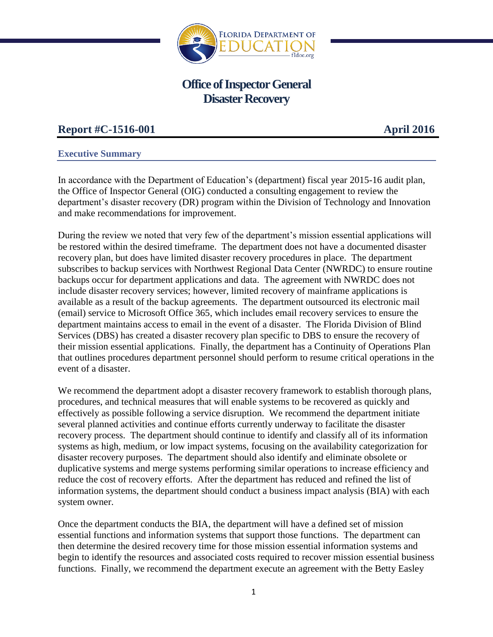

# **Office of Inspector General Disaster Recovery**

# **Report #C-1516-001 April 2016**

## **Executive Summary**

In accordance with the Department of Education's (department) fiscal year 2015-16 audit plan, the Office of Inspector General (OIG) conducted a consulting engagement to review the department's disaster recovery (DR) program within the Division of Technology and Innovation and make recommendations for improvement.

During the review we noted that very few of the department's mission essential applications will be restored within the desired timeframe. The department does not have a documented disaster recovery plan, but does have limited disaster recovery procedures in place. The department subscribes to backup services with Northwest Regional Data Center (NWRDC) to ensure routine backups occur for department applications and data. The agreement with NWRDC does not include disaster recovery services; however, limited recovery of mainframe applications is available as a result of the backup agreements. The department outsourced its electronic mail (email) service to Microsoft Office 365, which includes email recovery services to ensure the department maintains access to email in the event of a disaster. The Florida Division of Blind Services (DBS) has created a disaster recovery plan specific to DBS to ensure the recovery of their mission essential applications. Finally, the department has a Continuity of Operations Plan that outlines procedures department personnel should perform to resume critical operations in the event of a disaster.

We recommend the department adopt a disaster recovery framework to establish thorough plans, procedures, and technical measures that will enable systems to be recovered as quickly and effectively as possible following a service disruption. We recommend the department initiate several planned activities and continue efforts currently underway to facilitate the disaster recovery process. The department should continue to identify and classify all of its information systems as high, medium, or low impact systems, focusing on the availability categorization for disaster recovery purposes. The department should also identify and eliminate obsolete or duplicative systems and merge systems performing similar operations to increase efficiency and reduce the cost of recovery efforts. After the department has reduced and refined the list of information systems, the department should conduct a business impact analysis (BIA) with each system owner.

Once the department conducts the BIA, the department will have a defined set of mission essential functions and information systems that support those functions. The department can then determine the desired recovery time for those mission essential information systems and begin to identify the resources and associated costs required to recover mission essential business functions. Finally, we recommend the department execute an agreement with the Betty Easley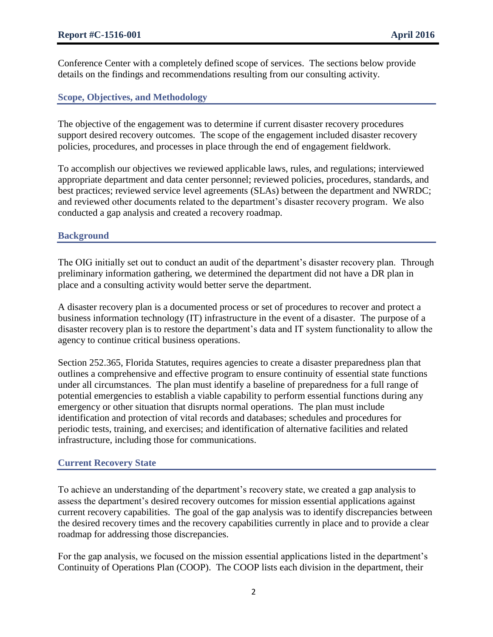Conference Center with a completely defined scope of services. The sections below provide details on the findings and recommendations resulting from our consulting activity.

## **Scope, Objectives, and Methodology**

The objective of the engagement was to determine if current disaster recovery procedures support desired recovery outcomes. The scope of the engagement included disaster recovery policies, procedures, and processes in place through the end of engagement fieldwork.

To accomplish our objectives we reviewed applicable laws, rules, and regulations; interviewed appropriate department and data center personnel; reviewed policies, procedures, standards, and best practices; reviewed service level agreements (SLAs) between the department and NWRDC; and reviewed other documents related to the department's disaster recovery program. We also conducted a gap analysis and created a recovery roadmap.

## **Background**

The OIG initially set out to conduct an audit of the department's disaster recovery plan. Through preliminary information gathering, we determined the department did not have a DR plan in place and a consulting activity would better serve the department.

A disaster recovery plan is a documented process or set of procedures to recover and protect a business information technology (IT) infrastructure in the event of a disaster. The purpose of a disaster recovery plan is to restore the department's data and IT system functionality to allow the agency to continue critical business operations.

Section 252.365, Florida Statutes, requires agencies to create a disaster preparedness plan that outlines a comprehensive and effective program to ensure continuity of essential state functions under all circumstances. The plan must identify a baseline of preparedness for a full range of potential emergencies to establish a viable capability to perform essential functions during any emergency or other situation that disrupts normal operations. The plan must include identification and protection of vital records and databases; schedules and procedures for periodic tests, training, and exercises; and identification of alternative facilities and related infrastructure, including those for communications.

### **Current Recovery State**

To achieve an understanding of the department's recovery state, we created a gap analysis to assess the department's desired recovery outcomes for mission essential applications against current recovery capabilities. The goal of the gap analysis was to identify discrepancies between the desired recovery times and the recovery capabilities currently in place and to provide a clear roadmap for addressing those discrepancies.

For the gap analysis, we focused on the mission essential applications listed in the department's Continuity of Operations Plan (COOP). The COOP lists each division in the department, their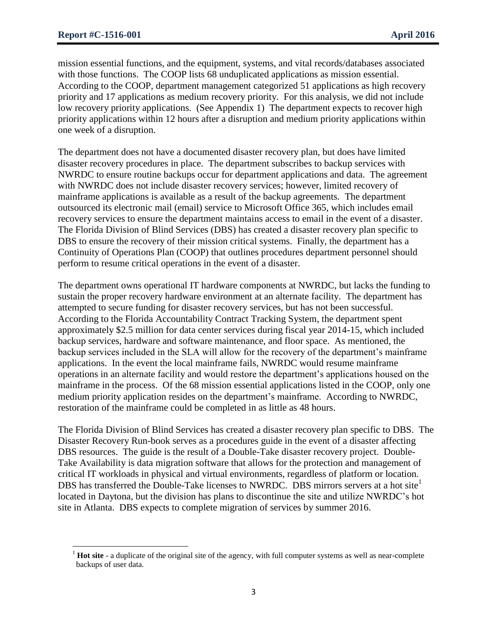$\overline{\phantom{a}}$ 

mission essential functions, and the equipment, systems, and vital records/databases associated with those functions. The COOP lists 68 unduplicated applications as mission essential. According to the COOP, department management categorized 51 applications as high recovery priority and 17 applications as medium recovery priority. For this analysis, we did not include low recovery priority applications. (See Appendix 1) The department expects to recover high priority applications within 12 hours after a disruption and medium priority applications within one week of a disruption.

The department does not have a documented disaster recovery plan, but does have limited disaster recovery procedures in place. The department subscribes to backup services with NWRDC to ensure routine backups occur for department applications and data. The agreement with NWRDC does not include disaster recovery services; however, limited recovery of mainframe applications is available as a result of the backup agreements. The department outsourced its electronic mail (email) service to Microsoft Office 365, which includes email recovery services to ensure the department maintains access to email in the event of a disaster. The Florida Division of Blind Services (DBS) has created a disaster recovery plan specific to DBS to ensure the recovery of their mission critical systems. Finally, the department has a Continuity of Operations Plan (COOP) that outlines procedures department personnel should perform to resume critical operations in the event of a disaster.

The department owns operational IT hardware components at NWRDC, but lacks the funding to sustain the proper recovery hardware environment at an alternate facility. The department has attempted to secure funding for disaster recovery services, but has not been successful. According to the Florida Accountability Contract Tracking System, the department spent approximately \$2.5 million for data center services during fiscal year 2014-15, which included backup services, hardware and software maintenance, and floor space. As mentioned, the backup services included in the SLA will allow for the recovery of the department's mainframe applications. In the event the local mainframe fails, NWRDC would resume mainframe operations in an alternate facility and would restore the department's applications housed on the mainframe in the process. Of the 68 mission essential applications listed in the COOP, only one medium priority application resides on the department's mainframe. According to NWRDC, restoration of the mainframe could be completed in as little as 48 hours.

The Florida Division of Blind Services has created a disaster recovery plan specific to DBS. The Disaster Recovery Run-book serves as a procedures guide in the event of a disaster affecting DBS resources. The guide is the result of a Double-Take disaster recovery project. Double-Take Availability is data migration software that allows for the protection and management of critical IT workloads in physical and virtual environments, regardless of platform or location. DBS has transferred the Double-Take licenses to NWRDC. DBS mirrors servers at a hot site<sup>1</sup> located in Daytona, but the division has plans to discontinue the site and utilize NWRDC's hot site in Atlanta. DBS expects to complete migration of services by summer 2016.

<sup>&</sup>lt;sup>1</sup> **Hot site** - a duplicate of the original site of the agency, with full computer systems as well as near-complete backups of user data.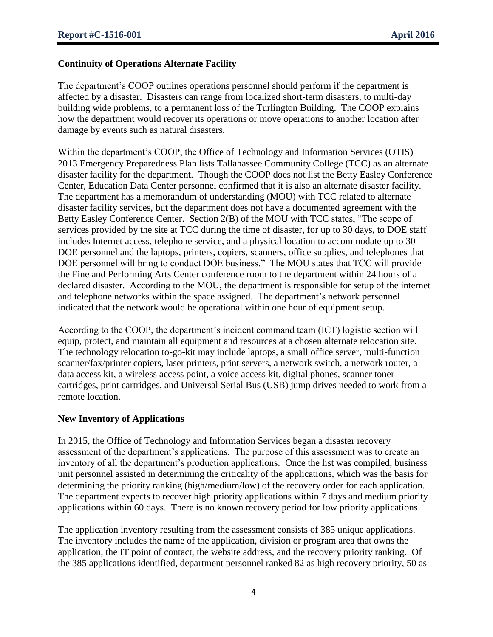## **Continuity of Operations Alternate Facility**

The department's COOP outlines operations personnel should perform if the department is affected by a disaster. Disasters can range from localized short-term disasters, to multi-day building wide problems, to a permanent loss of the Turlington Building. The COOP explains how the department would recover its operations or move operations to another location after damage by events such as natural disasters.

Within the department's COOP, the Office of Technology and Information Services (OTIS) 2013 Emergency Preparedness Plan lists Tallahassee Community College (TCC) as an alternate disaster facility for the department. Though the COOP does not list the Betty Easley Conference Center, Education Data Center personnel confirmed that it is also an alternate disaster facility. The department has a memorandum of understanding (MOU) with TCC related to alternate disaster facility services, but the department does not have a documented agreement with the Betty Easley Conference Center. Section 2(B) of the MOU with TCC states, "The scope of services provided by the site at TCC during the time of disaster, for up to 30 days, to DOE staff includes Internet access, telephone service, and a physical location to accommodate up to 30 DOE personnel and the laptops, printers, copiers, scanners, office supplies, and telephones that DOE personnel will bring to conduct DOE business." The MOU states that TCC will provide the Fine and Performing Arts Center conference room to the department within 24 hours of a declared disaster. According to the MOU, the department is responsible for setup of the internet and telephone networks within the space assigned. The department's network personnel indicated that the network would be operational within one hour of equipment setup.

According to the COOP, the department's incident command team (ICT) logistic section will equip, protect, and maintain all equipment and resources at a chosen alternate relocation site. The technology relocation to-go-kit may include laptops, a small office server, multi-function scanner/fax/printer copiers, laser printers, print servers, a network switch, a network router, a data access kit, a wireless access point, a voice access kit, digital phones, scanner toner cartridges, print cartridges, and Universal Serial Bus (USB) jump drives needed to work from a remote location.

### **New Inventory of Applications**

In 2015, the Office of Technology and Information Services began a disaster recovery assessment of the department's applications. The purpose of this assessment was to create an inventory of all the department's production applications. Once the list was compiled, business unit personnel assisted in determining the criticality of the applications, which was the basis for determining the priority ranking (high/medium/low) of the recovery order for each application. The department expects to recover high priority applications within 7 days and medium priority applications within 60 days. There is no known recovery period for low priority applications.

The application inventory resulting from the assessment consists of 385 unique applications. The inventory includes the name of the application, division or program area that owns the application, the IT point of contact, the website address, and the recovery priority ranking. Of the 385 applications identified, department personnel ranked 82 as high recovery priority, 50 as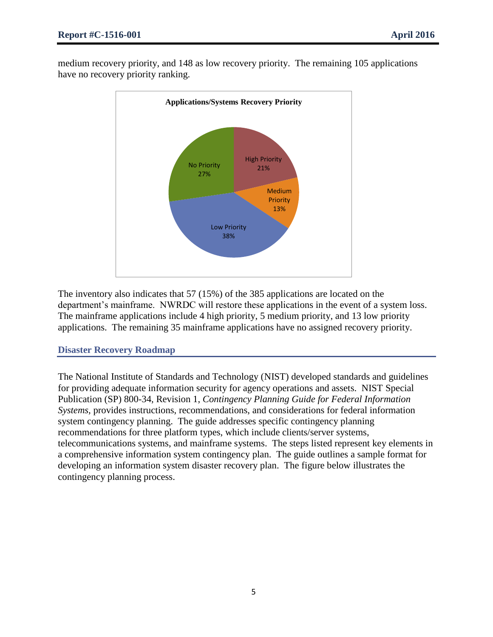medium recovery priority, and 148 as low recovery priority. The remaining 105 applications have no recovery priority ranking.



The inventory also indicates that 57 (15%) of the 385 applications are located on the department's mainframe. NWRDC will restore these applications in the event of a system loss. The mainframe applications include 4 high priority, 5 medium priority, and 13 low priority applications. The remaining 35 mainframe applications have no assigned recovery priority.

### **Disaster Recovery Roadmap**

The National Institute of Standards and Technology (NIST) developed standards and guidelines for providing adequate information security for agency operations and assets. NIST Special Publication (SP) 800-34, Revision 1, *Contingency Planning Guide for Federal Information Systems,* provides instructions, recommendations, and considerations for federal information system contingency planning. The guide addresses specific contingency planning recommendations for three platform types, which include clients/server systems, telecommunications systems, and mainframe systems. The steps listed represent key elements in a comprehensive information system contingency plan. The guide outlines a sample format for developing an information system disaster recovery plan. The figure below illustrates the contingency planning process.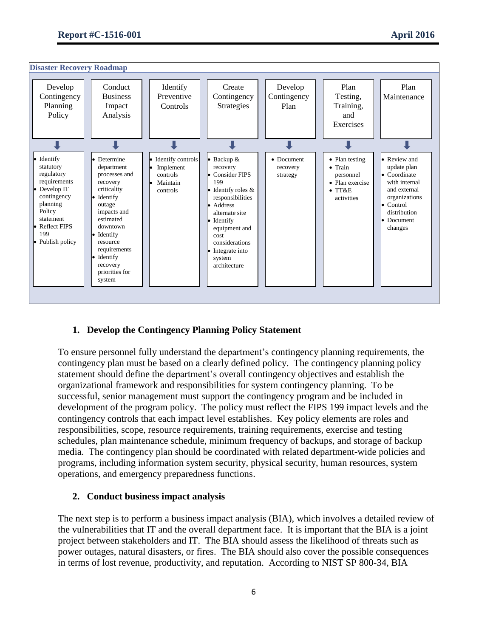

## **1. Develop the Contingency Planning Policy Statement**

To ensure personnel fully understand the department's contingency planning requirements, the contingency plan must be based on a clearly defined policy. The contingency planning policy statement should define the department's overall contingency objectives and establish the organizational framework and responsibilities for system contingency planning. To be successful, senior management must support the contingency program and be included in development of the program policy. The policy must reflect the FIPS 199 impact levels and the contingency controls that each impact level establishes. Key policy elements are roles and responsibilities, scope, resource requirements, training requirements, exercise and testing schedules, plan maintenance schedule, minimum frequency of backups, and storage of backup media. The contingency plan should be coordinated with related department-wide policies and programs, including information system security, physical security, human resources, system operations, and emergency preparedness functions.

### **2. Conduct business impact analysis**

The next step is to perform a business impact analysis (BIA), which involves a detailed review of the vulnerabilities that IT and the overall department face. It is important that the BIA is a joint project between stakeholders and IT. The BIA should assess the likelihood of threats such as power outages, natural disasters, or fires. The BIA should also cover the possible consequences in terms of lost revenue, productivity, and reputation. According to NIST SP 800-34, BIA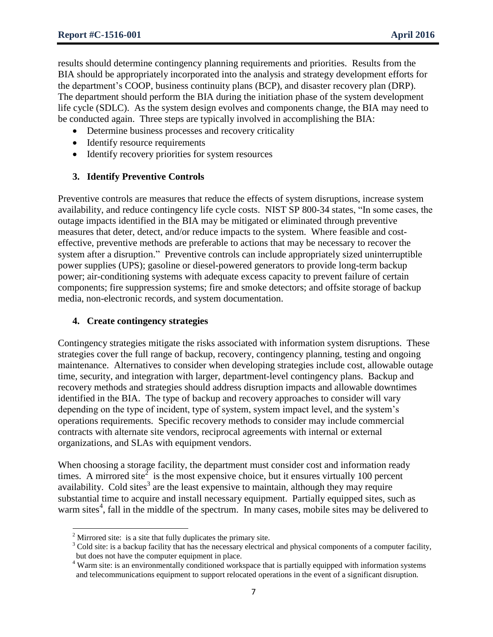results should determine contingency planning requirements and priorities. Results from the BIA should be appropriately incorporated into the analysis and strategy development efforts for the department's COOP, business continuity plans (BCP), and disaster recovery plan (DRP). The department should perform the BIA during the initiation phase of the system development life cycle (SDLC). As the system design evolves and components change, the BIA may need to be conducted again. Three steps are typically involved in accomplishing the BIA:

- Determine business processes and recovery criticality
- Identify resource requirements
- Identify recovery priorities for system resources

#### **3. Identify Preventive Controls**

Preventive controls are measures that reduce the effects of system disruptions, increase system availability, and reduce contingency life cycle costs. NIST SP 800-34 states, "In some cases, the outage impacts identified in the BIA may be mitigated or eliminated through preventive measures that deter, detect, and/or reduce impacts to the system. Where feasible and costeffective, preventive methods are preferable to actions that may be necessary to recover the system after a disruption." Preventive controls can include appropriately sized uninterruptible power supplies (UPS); gasoline or diesel-powered generators to provide long-term backup power; air-conditioning systems with adequate excess capacity to prevent failure of certain components; fire suppression systems; fire and smoke detectors; and offsite storage of backup media, non-electronic records, and system documentation.

#### **4. Create contingency strategies**

Contingency strategies mitigate the risks associated with information system disruptions. These strategies cover the full range of backup, recovery, contingency planning, testing and ongoing maintenance. Alternatives to consider when developing strategies include cost, allowable outage time, security, and integration with larger, department-level contingency plans. Backup and recovery methods and strategies should address disruption impacts and allowable downtimes identified in the BIA. The type of backup and recovery approaches to consider will vary depending on the type of incident, type of system, system impact level, and the system's operations requirements. Specific recovery methods to consider may include commercial contracts with alternate site vendors, reciprocal agreements with internal or external organizations, and SLAs with equipment vendors.

When choosing a storage facility, the department must consider cost and information ready times. A mirrored site<sup> $\overline{2}$ </sup> is the most expensive choice, but it ensures virtually 100 percent availability. Cold sites<sup>3</sup> are the least expensive to maintain, although they may require substantial time to acquire and install necessary equipment. Partially equipped sites, such as warm sites<sup>4</sup>, fall in the middle of the spectrum. In many cases, mobile sites may be delivered to

<sup>&</sup>lt;sup>2</sup> Mirrored site: is a site that fully duplicates the primary site.

 $3$  Cold site: is a backup facility that has the necessary electrical and physical components of a computer facility, but does not have the computer equipment in place.

<sup>&</sup>lt;sup>4</sup> Warm site: is an environmentally conditioned workspace that is partially equipped with information systems and telecommunications equipment to support relocated operations in the event of a significant disruption.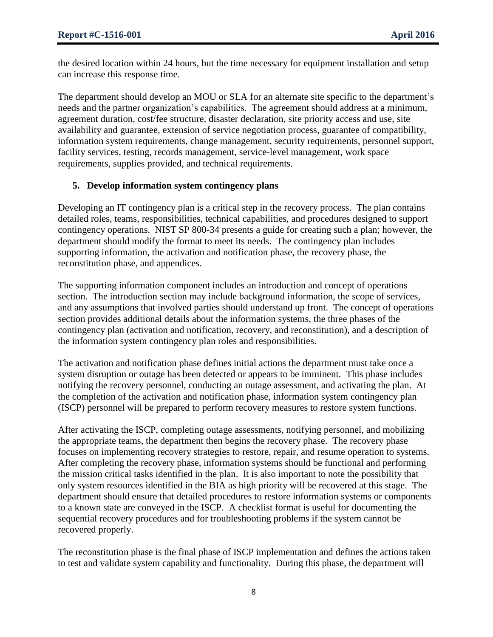the desired location within 24 hours, but the time necessary for equipment installation and setup can increase this response time.

The department should develop an MOU or SLA for an alternate site specific to the department's needs and the partner organization's capabilities. The agreement should address at a minimum, agreement duration, cost/fee structure, disaster declaration, site priority access and use, site availability and guarantee, extension of service negotiation process, guarantee of compatibility, information system requirements, change management, security requirements, personnel support, facility services, testing, records management, service-level management, work space requirements, supplies provided, and technical requirements.

## **5. Develop information system contingency plans**

Developing an IT contingency plan is a critical step in the recovery process. The plan contains detailed roles, teams, responsibilities, technical capabilities, and procedures designed to support contingency operations. NIST SP 800-34 presents a guide for creating such a plan; however, the department should modify the format to meet its needs. The contingency plan includes supporting information, the activation and notification phase, the recovery phase, the reconstitution phase, and appendices.

The supporting information component includes an introduction and concept of operations section. The introduction section may include background information, the scope of services, and any assumptions that involved parties should understand up front. The concept of operations section provides additional details about the information systems, the three phases of the contingency plan (activation and notification, recovery, and reconstitution), and a description of the information system contingency plan roles and responsibilities.

The activation and notification phase defines initial actions the department must take once a system disruption or outage has been detected or appears to be imminent. This phase includes notifying the recovery personnel, conducting an outage assessment, and activating the plan. At the completion of the activation and notification phase, information system contingency plan (ISCP) personnel will be prepared to perform recovery measures to restore system functions.

After activating the ISCP, completing outage assessments, notifying personnel, and mobilizing the appropriate teams, the department then begins the recovery phase. The recovery phase focuses on implementing recovery strategies to restore, repair, and resume operation to systems. After completing the recovery phase, information systems should be functional and performing the mission critical tasks identified in the plan. It is also important to note the possibility that only system resources identified in the BIA as high priority will be recovered at this stage. The department should ensure that detailed procedures to restore information systems or components to a known state are conveyed in the ISCP. A checklist format is useful for documenting the sequential recovery procedures and for troubleshooting problems if the system cannot be recovered properly.

The reconstitution phase is the final phase of ISCP implementation and defines the actions taken to test and validate system capability and functionality. During this phase, the department will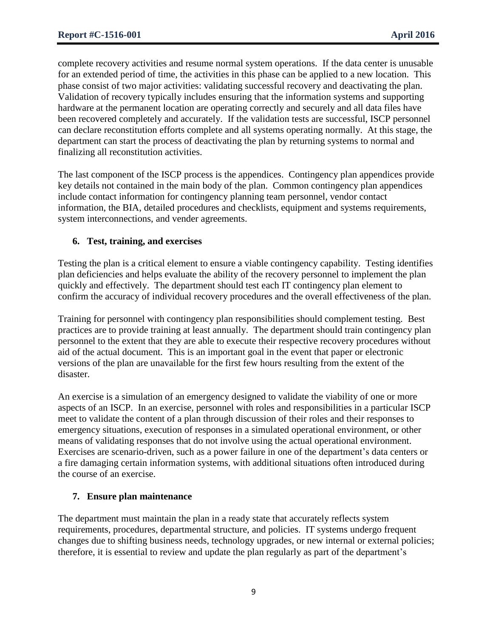complete recovery activities and resume normal system operations. If the data center is unusable for an extended period of time, the activities in this phase can be applied to a new location. This phase consist of two major activities: validating successful recovery and deactivating the plan. Validation of recovery typically includes ensuring that the information systems and supporting hardware at the permanent location are operating correctly and securely and all data files have been recovered completely and accurately. If the validation tests are successful, ISCP personnel can declare reconstitution efforts complete and all systems operating normally. At this stage, the department can start the process of deactivating the plan by returning systems to normal and finalizing all reconstitution activities.

The last component of the ISCP process is the appendices. Contingency plan appendices provide key details not contained in the main body of the plan. Common contingency plan appendices include contact information for contingency planning team personnel, vendor contact information, the BIA, detailed procedures and checklists, equipment and systems requirements, system interconnections, and vender agreements.

## **6. Test, training, and exercises**

Testing the plan is a critical element to ensure a viable contingency capability. Testing identifies plan deficiencies and helps evaluate the ability of the recovery personnel to implement the plan quickly and effectively. The department should test each IT contingency plan element to confirm the accuracy of individual recovery procedures and the overall effectiveness of the plan.

Training for personnel with contingency plan responsibilities should complement testing. Best practices are to provide training at least annually. The department should train contingency plan personnel to the extent that they are able to execute their respective recovery procedures without aid of the actual document. This is an important goal in the event that paper or electronic versions of the plan are unavailable for the first few hours resulting from the extent of the disaster.

An exercise is a simulation of an emergency designed to validate the viability of one or more aspects of an ISCP. In an exercise, personnel with roles and responsibilities in a particular ISCP meet to validate the content of a plan through discussion of their roles and their responses to emergency situations, execution of responses in a simulated operational environment, or other means of validating responses that do not involve using the actual operational environment. Exercises are scenario-driven, such as a power failure in one of the department's data centers or a fire damaging certain information systems, with additional situations often introduced during the course of an exercise.

### **7. Ensure plan maintenance**

The department must maintain the plan in a ready state that accurately reflects system requirements, procedures, departmental structure, and policies. IT systems undergo frequent changes due to shifting business needs, technology upgrades, or new internal or external policies; therefore, it is essential to review and update the plan regularly as part of the department's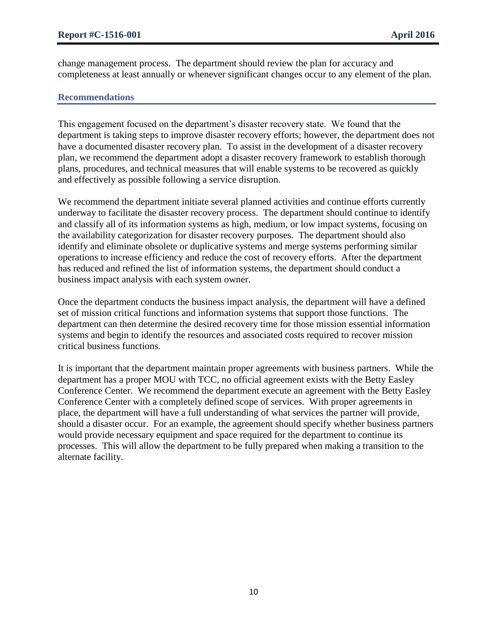change management process. The department should review the plan for accuracy and completeness at least annually or whenever significant changes occur to any element of the plan.

### **Recommendations**

This engagement focused on the department's disaster recovery state. We found that the department is taking steps to improve disaster recovery efforts; however, the department does not have a documented disaster recovery plan. To assist in the development of a disaster recovery plan, we recommend the department adopt a disaster recovery framework to establish thorough plans, procedures, and technical measures that will enable systems to be recovered as quickly and effectively as possible following a service disruption.

We recommend the department initiate several planned activities and continue efforts currently underway to facilitate the disaster recovery process. The department should continue to identify and classify all of its information systems as high, medium, or low impact systems, focusing on the availability categorization for disaster recovery purposes. The department should also identify and eliminate obsolete or duplicative systems and merge systems performing similar operations to increase efficiency and reduce the cost of recovery efforts. After the department has reduced and refined the list of information systems, the department should conduct a business impact analysis with each system owner.

Once the department conducts the business impact analysis, the department will have a defined set of mission critical functions and information systems that support those functions. The department can then determine the desired recovery time for those mission essential information systems and begin to identify the resources and associated costs required to recover mission critical business functions.

It is important that the department maintain proper agreements with business partners. While the department has a proper MOU with TCC, no official agreement exists with the Betty Easley Conference Center. We recommend the department execute an agreement with the Betty Easley Conference Center with a completely defined scope of services. With proper agreements in place, the department will have a full understanding of what services the partner will provide, should a disaster occur. For an example, the agreement should specify whether business partners would provide necessary equipment and space required for the department to continue its processes. This will allow the department to be fully prepared when making a transition to the alternate facility.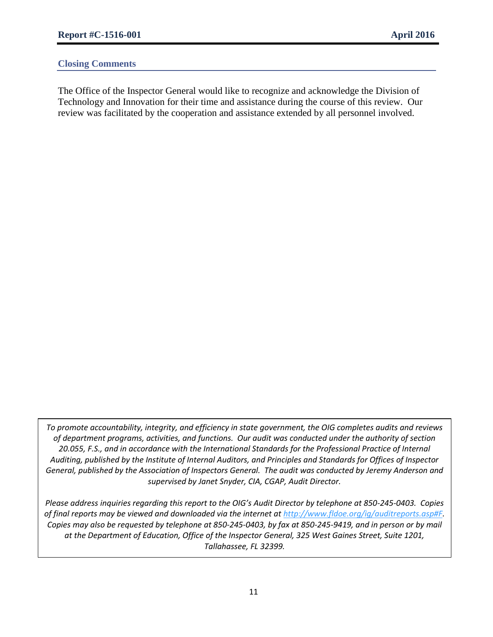### **Closing Comments**

The Office of the Inspector General would like to recognize and acknowledge the Division of Technology and Innovation for their time and assistance during the course of this review. Our review was facilitated by the cooperation and assistance extended by all personnel involved.

*To promote accountability, integrity, and efficiency in state government, the OIG completes audits and reviews of department programs, activities, and functions. Our audit was conducted under the authority of section 20.055, F.S., and in accordance with the International Standards for the Professional Practice of Internal Auditing, published by the Institute of Internal Auditors, and Principles and Standards for Offices of Inspector General, published by the Association of Inspectors General. The audit was conducted by Jeremy Anderson and supervised by Janet Snyder, CIA, CGAP, Audit Director.*

*Please address inquiries regarding this report to the OIG's Audit Director by telephone at 850-245-0403. Copies of final reports may be viewed and downloaded via the internet at [http://www.fldoe.org/ig/auditreports.asp#F.](http://www.fldoe.org/ig/auditreports.asp#F) Copies may also be requested by telephone at 850-245-0403, by fax at 850-245-9419, and in person or by mail at the Department of Education, Office of the Inspector General, 325 West Gaines Street, Suite 1201, Tallahassee, FL 32399.*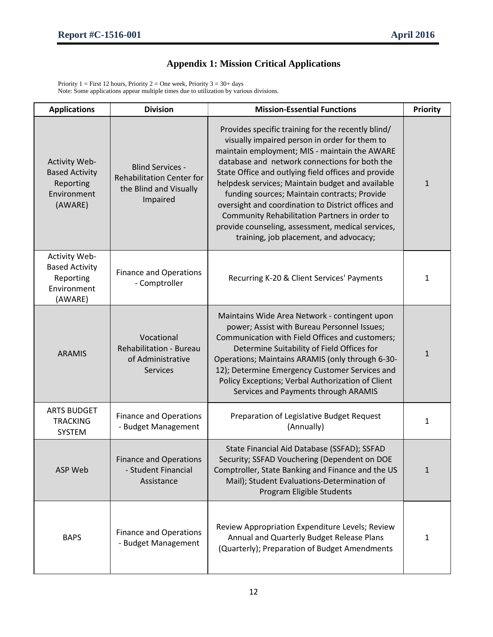## **Appendix 1: Mission Critical Applications**

Priority 1 = First 12 hours, Priority 2 = One week, Priority 3 =  $30+$  days Note: Some applications appear multiple times due to utilization by various divisions.

| <b>Applications</b>                                                           | <b>Division</b>                                                                                   | <b>Mission-Essential Functions</b>                                                                                                                                                                                                                                                                                                                                                                                                                                                                                                                                     | <b>Priority</b> |
|-------------------------------------------------------------------------------|---------------------------------------------------------------------------------------------------|------------------------------------------------------------------------------------------------------------------------------------------------------------------------------------------------------------------------------------------------------------------------------------------------------------------------------------------------------------------------------------------------------------------------------------------------------------------------------------------------------------------------------------------------------------------------|-----------------|
| Activity Web-<br><b>Based Activity</b><br>Reporting<br>Environment<br>(AWARE) | <b>Blind Services -</b><br><b>Rehabilitation Center for</b><br>the Blind and Visually<br>Impaired | Provides specific training for the recently blind/<br>visually impaired person in order for them to<br>maintain employment; MIS - maintain the AWARE<br>database and network connections for both the<br>State Office and outlying field offices and provide<br>helpdesk services; Maintain budget and available<br>funding sources; Maintain contracts; Provide<br>oversight and coordination to District offices and<br>Community Rehabilitation Partners in order to<br>provide counseling, assessment, medical services,<br>training, job placement, and advocacy; | $\mathbf{1}$    |
| Activity Web-<br><b>Based Activity</b><br>Reporting<br>Environment<br>(AWARE) | <b>Finance and Operations</b><br>- Comptroller                                                    | Recurring K-20 & Client Services' Payments                                                                                                                                                                                                                                                                                                                                                                                                                                                                                                                             | $\mathbf{1}$    |
| <b>ARAMIS</b>                                                                 | Vocational<br>Rehabilitation - Bureau<br>of Administrative<br><b>Services</b>                     | Maintains Wide Area Network - contingent upon<br>power; Assist with Bureau Personnel Issues;<br>Communication with Field Offices and customers;<br>Determine Suitability of Field Offices for<br>Operations; Maintains ARAMIS (only through 6-30-<br>12); Determine Emergency Customer Services and<br>Policy Exceptions; Verbal Authorization of Client<br>Services and Payments through ARAMIS                                                                                                                                                                       | $\mathbf{1}$    |
| <b>ARTS BUDGET</b><br><b>TRACKING</b><br>SYSTEM                               | <b>Finance and Operations</b><br>- Budget Management                                              | Preparation of Legislative Budget Request<br>(Annually)                                                                                                                                                                                                                                                                                                                                                                                                                                                                                                                | $\mathbf{1}$    |
| ASP Web                                                                       | <b>Finance and Operations</b><br>- Student Financial<br>Assistance                                | State Financial Aid Database (SSFAD); SSFAD<br>Security; SSFAD Vouchering (Dependent on DOE<br>Comptroller, State Banking and Finance and the US<br>Mail); Student Evaluations-Determination of<br>Program Eligible Students                                                                                                                                                                                                                                                                                                                                           | $\mathbf{1}$    |
| <b>BAPS</b>                                                                   | <b>Finance and Operations</b><br>- Budget Management                                              | Review Appropriation Expenditure Levels; Review<br>Annual and Quarterly Budget Release Plans<br>(Quarterly); Preparation of Budget Amendments                                                                                                                                                                                                                                                                                                                                                                                                                          | 1               |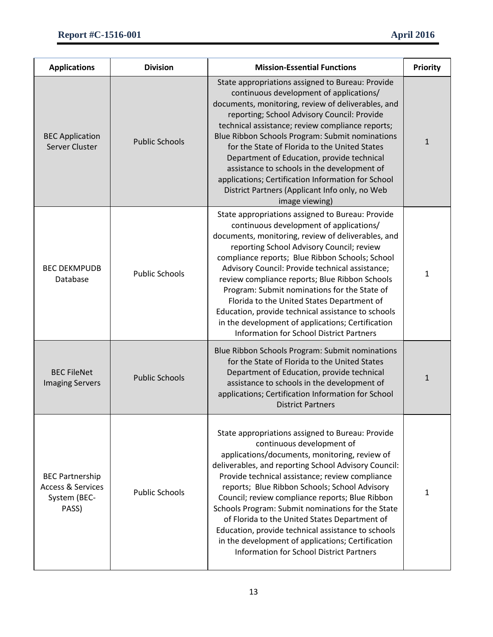| <b>Applications</b>                                                             | <b>Division</b>       | <b>Mission-Essential Functions</b>                                                                                                                                                                                                                                                                                                                                                                                                                                                                                                                                                                                 | <b>Priority</b> |
|---------------------------------------------------------------------------------|-----------------------|--------------------------------------------------------------------------------------------------------------------------------------------------------------------------------------------------------------------------------------------------------------------------------------------------------------------------------------------------------------------------------------------------------------------------------------------------------------------------------------------------------------------------------------------------------------------------------------------------------------------|-----------------|
| <b>BEC Application</b><br>Server Cluster                                        | <b>Public Schools</b> | State appropriations assigned to Bureau: Provide<br>continuous development of applications/<br>documents, monitoring, review of deliverables, and<br>reporting; School Advisory Council: Provide<br>technical assistance; review compliance reports;<br>Blue Ribbon Schools Program: Submit nominations<br>for the State of Florida to the United States<br>Department of Education, provide technical<br>assistance to schools in the development of<br>applications; Certification Information for School<br>District Partners (Applicant Info only, no Web<br>image viewing)                                    | $\mathbf{1}$    |
| <b>BEC DEKMPUDB</b><br>Database                                                 | <b>Public Schools</b> | State appropriations assigned to Bureau: Provide<br>continuous development of applications/<br>documents, monitoring, review of deliverables, and<br>reporting School Advisory Council; review<br>compliance reports; Blue Ribbon Schools; School<br>Advisory Council: Provide technical assistance;<br>review compliance reports; Blue Ribbon Schools<br>Program: Submit nominations for the State of<br>Florida to the United States Department of<br>Education, provide technical assistance to schools<br>in the development of applications; Certification<br><b>Information for School District Partners</b> | $\mathbf{1}$    |
| <b>BEC FileNet</b><br><b>Imaging Servers</b>                                    | <b>Public Schools</b> | Blue Ribbon Schools Program: Submit nominations<br>for the State of Florida to the United States<br>Department of Education, provide technical<br>assistance to schools in the development of<br>applications; Certification Information for School<br><b>District Partners</b>                                                                                                                                                                                                                                                                                                                                    | 1               |
| <b>BEC Partnership</b><br><b>Access &amp; Services</b><br>System (BEC-<br>PASS) | <b>Public Schools</b> | State appropriations assigned to Bureau: Provide<br>continuous development of<br>applications/documents, monitoring, review of<br>deliverables, and reporting School Advisory Council:<br>Provide technical assistance; review compliance<br>reports; Blue Ribbon Schools; School Advisory<br>Council; review compliance reports; Blue Ribbon<br>Schools Program: Submit nominations for the State<br>of Florida to the United States Department of<br>Education, provide technical assistance to schools<br>in the development of applications; Certification<br><b>Information for School District Partners</b>  | 1               |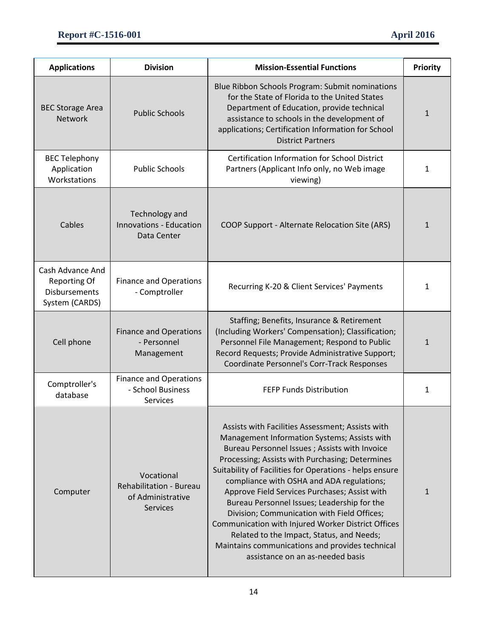| <b>Applications</b>                                                               | <b>Division</b>                                                               | <b>Mission-Essential Functions</b>                                                                                                                                                                                                                                                                                                                                                                                                                                                                                                                                                                                                                     | <b>Priority</b> |
|-----------------------------------------------------------------------------------|-------------------------------------------------------------------------------|--------------------------------------------------------------------------------------------------------------------------------------------------------------------------------------------------------------------------------------------------------------------------------------------------------------------------------------------------------------------------------------------------------------------------------------------------------------------------------------------------------------------------------------------------------------------------------------------------------------------------------------------------------|-----------------|
| <b>BEC Storage Area</b><br><b>Network</b>                                         | <b>Public Schools</b>                                                         | Blue Ribbon Schools Program: Submit nominations<br>for the State of Florida to the United States<br>Department of Education, provide technical<br>assistance to schools in the development of<br>applications; Certification Information for School<br><b>District Partners</b>                                                                                                                                                                                                                                                                                                                                                                        | $\mathbf{1}$    |
| <b>BEC Telephony</b><br>Application<br>Workstations                               | <b>Public Schools</b>                                                         | <b>Certification Information for School District</b><br>Partners (Applicant Info only, no Web image<br>viewing)                                                                                                                                                                                                                                                                                                                                                                                                                                                                                                                                        | 1               |
| Cables                                                                            | Technology and<br><b>Innovations - Education</b><br>Data Center               | COOP Support - Alternate Relocation Site (ARS)                                                                                                                                                                                                                                                                                                                                                                                                                                                                                                                                                                                                         | $\mathbf{1}$    |
| Cash Advance And<br><b>Reporting Of</b><br><b>Disbursements</b><br>System (CARDS) | <b>Finance and Operations</b><br>- Comptroller                                | Recurring K-20 & Client Services' Payments                                                                                                                                                                                                                                                                                                                                                                                                                                                                                                                                                                                                             | 1               |
| Cell phone                                                                        | <b>Finance and Operations</b><br>- Personnel<br>Management                    | Staffing; Benefits, Insurance & Retirement<br>(Including Workers' Compensation); Classification;<br>Personnel File Management; Respond to Public<br>Record Requests; Provide Administrative Support;<br>Coordinate Personnel's Corr-Track Responses                                                                                                                                                                                                                                                                                                                                                                                                    | $\mathbf{1}$    |
| Comptroller's<br>database                                                         | <b>Finance and Operations</b><br>- School Business<br>Services                | FEFP Funds Distribution                                                                                                                                                                                                                                                                                                                                                                                                                                                                                                                                                                                                                                | 1               |
| Computer                                                                          | Vocational<br>Rehabilitation - Bureau<br>of Administrative<br><b>Services</b> | Assists with Facilities Assessment; Assists with<br>Management Information Systems; Assists with<br>Bureau Personnel Issues ; Assists with Invoice<br>Processing; Assists with Purchasing; Determines<br>Suitability of Facilities for Operations - helps ensure<br>compliance with OSHA and ADA regulations;<br>Approve Field Services Purchases; Assist with<br>Bureau Personnel Issues; Leadership for the<br>Division; Communication with Field Offices;<br>Communication with Injured Worker District Offices<br>Related to the Impact, Status, and Needs;<br>Maintains communications and provides technical<br>assistance on an as-needed basis | $\mathbf{1}$    |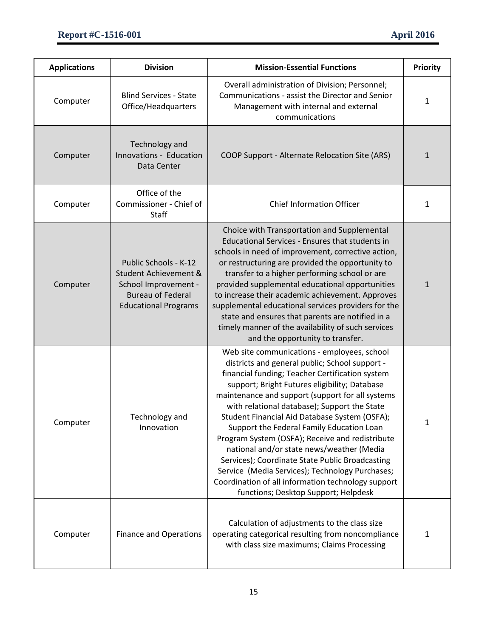| <b>Applications</b> | <b>Division</b>                                                                                                                   | <b>Mission-Essential Functions</b>                                                                                                                                                                                                                                                                                                                                                                                                                                                                                                                                                                                                                                                                      | <b>Priority</b> |
|---------------------|-----------------------------------------------------------------------------------------------------------------------------------|---------------------------------------------------------------------------------------------------------------------------------------------------------------------------------------------------------------------------------------------------------------------------------------------------------------------------------------------------------------------------------------------------------------------------------------------------------------------------------------------------------------------------------------------------------------------------------------------------------------------------------------------------------------------------------------------------------|-----------------|
| Computer            | <b>Blind Services - State</b><br>Office/Headquarters                                                                              | Overall administration of Division; Personnel;<br>Communications - assist the Director and Senior<br>Management with internal and external<br>communications                                                                                                                                                                                                                                                                                                                                                                                                                                                                                                                                            | 1               |
| Computer            | Technology and<br>Innovations - Education<br>Data Center                                                                          | COOP Support - Alternate Relocation Site (ARS)                                                                                                                                                                                                                                                                                                                                                                                                                                                                                                                                                                                                                                                          | 1               |
| Computer            | Office of the<br>Commissioner - Chief of<br>Staff                                                                                 | <b>Chief Information Officer</b>                                                                                                                                                                                                                                                                                                                                                                                                                                                                                                                                                                                                                                                                        | $\mathbf{1}$    |
| Computer            | Public Schools - K-12<br>Student Achievement &<br>School Improvement -<br><b>Bureau of Federal</b><br><b>Educational Programs</b> | Choice with Transportation and Supplemental<br>Educational Services - Ensures that students in<br>schools in need of improvement, corrective action,<br>or restructuring are provided the opportunity to<br>transfer to a higher performing school or are<br>provided supplemental educational opportunities<br>to increase their academic achievement. Approves<br>supplemental educational services providers for the<br>state and ensures that parents are notified in a<br>timely manner of the availability of such services<br>and the opportunity to transfer.                                                                                                                                   | $\mathbf{1}$    |
| Computer            | Technology and<br>Innovation                                                                                                      | Web site communications - employees, school<br>districts and general public; School support -<br>financial funding; Teacher Certification system<br>support; Bright Futures eligibility; Database<br>maintenance and support (support for all systems<br>with relational database); Support the State<br>Student Financial Aid Database System (OSFA);<br>Support the Federal Family Education Loan<br>Program System (OSFA); Receive and redistribute<br>national and/or state news/weather (Media<br>Services); Coordinate State Public Broadcasting<br>Service (Media Services); Technology Purchases;<br>Coordination of all information technology support<br>functions; Desktop Support; Helpdesk | 1               |
| Computer            | <b>Finance and Operations</b>                                                                                                     | Calculation of adjustments to the class size<br>operating categorical resulting from noncompliance<br>with class size maximums; Claims Processing                                                                                                                                                                                                                                                                                                                                                                                                                                                                                                                                                       | 1               |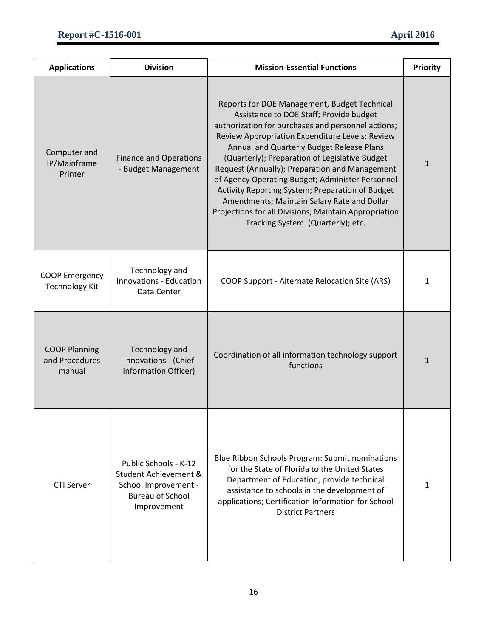| <b>Applications</b>                              | <b>Division</b>                                                                                                  | <b>Mission-Essential Functions</b>                                                                                                                                                                                                                                                                                                                                                                                                                                                                                                                                                                     | <b>Priority</b> |
|--------------------------------------------------|------------------------------------------------------------------------------------------------------------------|--------------------------------------------------------------------------------------------------------------------------------------------------------------------------------------------------------------------------------------------------------------------------------------------------------------------------------------------------------------------------------------------------------------------------------------------------------------------------------------------------------------------------------------------------------------------------------------------------------|-----------------|
| Computer and<br>IP/Mainframe<br>Printer          | <b>Finance and Operations</b><br>- Budget Management                                                             | Reports for DOE Management, Budget Technical<br>Assistance to DOE Staff; Provide budget<br>authorization for purchases and personnel actions;<br>Review Appropriation Expenditure Levels; Review<br>Annual and Quarterly Budget Release Plans<br>(Quarterly); Preparation of Legislative Budget<br>Request (Annually); Preparation and Management<br>of Agency Operating Budget; Administer Personnel<br>Activity Reporting System; Preparation of Budget<br>Amendments; Maintain Salary Rate and Dollar<br>Projections for all Divisions; Maintain Appropriation<br>Tracking System (Quarterly); etc. | $\mathbf{1}$    |
| <b>COOP Emergency</b><br><b>Technology Kit</b>   | Technology and<br><b>Innovations - Education</b><br>Data Center                                                  | COOP Support - Alternate Relocation Site (ARS)                                                                                                                                                                                                                                                                                                                                                                                                                                                                                                                                                         | 1               |
| <b>COOP Planning</b><br>and Procedures<br>manual | Technology and<br>Innovations - (Chief<br>Information Officer)                                                   | Coordination of all information technology support<br>functions                                                                                                                                                                                                                                                                                                                                                                                                                                                                                                                                        | $\mathbf{1}$    |
| <b>CTI Server</b>                                | Public Schools - K-12<br>Student Achievement &<br>School Improvement -<br><b>Bureau of School</b><br>Improvement | Blue Ribbon Schools Program: Submit nominations<br>for the State of Florida to the United States<br>Department of Education, provide technical<br>assistance to schools in the development of<br>applications; Certification Information for School<br><b>District Partners</b>                                                                                                                                                                                                                                                                                                                        | 1               |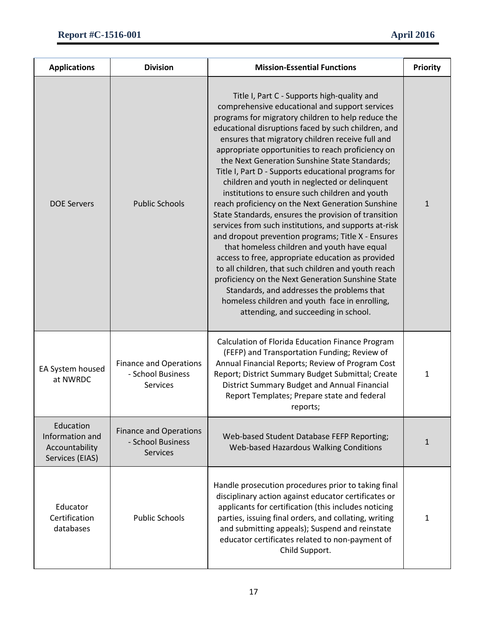| <b>Applications</b>                                               | <b>Division</b>                                                       | <b>Mission-Essential Functions</b>                                                                                                                                                                                                                                                                                                                                                                                                                                                                                                                                                                                                                                                                                                                                                                                                                                                                                                                                                                                                                                                                                 | <b>Priority</b> |
|-------------------------------------------------------------------|-----------------------------------------------------------------------|--------------------------------------------------------------------------------------------------------------------------------------------------------------------------------------------------------------------------------------------------------------------------------------------------------------------------------------------------------------------------------------------------------------------------------------------------------------------------------------------------------------------------------------------------------------------------------------------------------------------------------------------------------------------------------------------------------------------------------------------------------------------------------------------------------------------------------------------------------------------------------------------------------------------------------------------------------------------------------------------------------------------------------------------------------------------------------------------------------------------|-----------------|
| <b>DOE Servers</b>                                                | <b>Public Schools</b>                                                 | Title I, Part C - Supports high-quality and<br>comprehensive educational and support services<br>programs for migratory children to help reduce the<br>educational disruptions faced by such children, and<br>ensures that migratory children receive full and<br>appropriate opportunities to reach proficiency on<br>the Next Generation Sunshine State Standards;<br>Title I, Part D - Supports educational programs for<br>children and youth in neglected or delinquent<br>institutions to ensure such children and youth<br>reach proficiency on the Next Generation Sunshine<br>State Standards, ensures the provision of transition<br>services from such institutions, and supports at-risk<br>and dropout prevention programs; Title X - Ensures<br>that homeless children and youth have equal<br>access to free, appropriate education as provided<br>to all children, that such children and youth reach<br>proficiency on the Next Generation Sunshine State<br>Standards, and addresses the problems that<br>homeless children and youth face in enrolling,<br>attending, and succeeding in school. | $\mathbf{1}$    |
| EA System housed<br>at NWRDC                                      | <b>Finance and Operations</b><br>- School Business<br><b>Services</b> | Calculation of Florida Education Finance Program<br>(FEFP) and Transportation Funding; Review of<br>Annual Financial Reports; Review of Program Cost<br>Report; District Summary Budget Submittal; Create<br>District Summary Budget and Annual Financial<br>Report Templates; Prepare state and federal<br>reports;                                                                                                                                                                                                                                                                                                                                                                                                                                                                                                                                                                                                                                                                                                                                                                                               | 1               |
| Education<br>Information and<br>Accountability<br>Services (EIAS) | <b>Finance and Operations</b><br>- School Business<br><b>Services</b> | Web-based Student Database FEFP Reporting;<br>Web-based Hazardous Walking Conditions                                                                                                                                                                                                                                                                                                                                                                                                                                                                                                                                                                                                                                                                                                                                                                                                                                                                                                                                                                                                                               | $\mathbf{1}$    |
| Educator<br>Certification<br>databases                            | <b>Public Schools</b>                                                 | Handle prosecution procedures prior to taking final<br>disciplinary action against educator certificates or<br>applicants for certification (this includes noticing<br>parties, issuing final orders, and collating, writing<br>and submitting appeals); Suspend and reinstate<br>educator certificates related to non-payment of<br>Child Support.                                                                                                                                                                                                                                                                                                                                                                                                                                                                                                                                                                                                                                                                                                                                                                | 1               |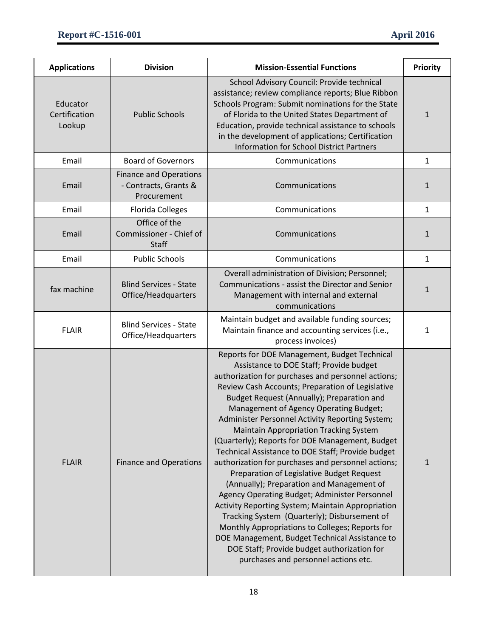| <b>Applications</b>                 | <b>Division</b>                                                       | <b>Mission-Essential Functions</b>                                                                                                                                                                                                                                                                                                                                                                                                                                                                                                                                                                                                                                                                                                                                                                                                                                                                                                                                                                      | <b>Priority</b> |
|-------------------------------------|-----------------------------------------------------------------------|---------------------------------------------------------------------------------------------------------------------------------------------------------------------------------------------------------------------------------------------------------------------------------------------------------------------------------------------------------------------------------------------------------------------------------------------------------------------------------------------------------------------------------------------------------------------------------------------------------------------------------------------------------------------------------------------------------------------------------------------------------------------------------------------------------------------------------------------------------------------------------------------------------------------------------------------------------------------------------------------------------|-----------------|
| Educator<br>Certification<br>Lookup | <b>Public Schools</b>                                                 | School Advisory Council: Provide technical<br>assistance; review compliance reports; Blue Ribbon<br>Schools Program: Submit nominations for the State<br>of Florida to the United States Department of<br>Education, provide technical assistance to schools<br>in the development of applications; Certification<br><b>Information for School District Partners</b>                                                                                                                                                                                                                                                                                                                                                                                                                                                                                                                                                                                                                                    | $\mathbf{1}$    |
| Email                               | <b>Board of Governors</b>                                             | Communications                                                                                                                                                                                                                                                                                                                                                                                                                                                                                                                                                                                                                                                                                                                                                                                                                                                                                                                                                                                          | 1               |
| Email                               | <b>Finance and Operations</b><br>- Contracts, Grants &<br>Procurement | Communications                                                                                                                                                                                                                                                                                                                                                                                                                                                                                                                                                                                                                                                                                                                                                                                                                                                                                                                                                                                          | 1               |
| Email                               | <b>Florida Colleges</b>                                               | Communications                                                                                                                                                                                                                                                                                                                                                                                                                                                                                                                                                                                                                                                                                                                                                                                                                                                                                                                                                                                          | 1               |
| Email                               | Office of the<br>Commissioner - Chief of<br><b>Staff</b>              | Communications                                                                                                                                                                                                                                                                                                                                                                                                                                                                                                                                                                                                                                                                                                                                                                                                                                                                                                                                                                                          | 1               |
| Email                               | <b>Public Schools</b>                                                 | Communications                                                                                                                                                                                                                                                                                                                                                                                                                                                                                                                                                                                                                                                                                                                                                                                                                                                                                                                                                                                          | $\mathbf{1}$    |
| fax machine                         | <b>Blind Services - State</b><br>Office/Headquarters                  | Overall administration of Division; Personnel;<br>Communications - assist the Director and Senior<br>Management with internal and external<br>communications                                                                                                                                                                                                                                                                                                                                                                                                                                                                                                                                                                                                                                                                                                                                                                                                                                            | $\mathbf{1}$    |
| <b>FLAIR</b>                        | <b>Blind Services - State</b><br>Office/Headquarters                  | Maintain budget and available funding sources;<br>Maintain finance and accounting services (i.e.,<br>process invoices)                                                                                                                                                                                                                                                                                                                                                                                                                                                                                                                                                                                                                                                                                                                                                                                                                                                                                  | 1               |
| <b>FLAIR</b>                        | <b>Finance and Operations</b>                                         | Reports for DOE Management, Budget Technical<br>Assistance to DOE Staff; Provide budget<br>authorization for purchases and personnel actions;<br>Review Cash Accounts; Preparation of Legislative<br>Budget Request (Annually); Preparation and<br>Management of Agency Operating Budget;<br>Administer Personnel Activity Reporting System;<br><b>Maintain Appropriation Tracking System</b><br>(Quarterly); Reports for DOE Management, Budget<br>Technical Assistance to DOE Staff; Provide budget<br>authorization for purchases and personnel actions;<br>Preparation of Legislative Budget Request<br>(Annually); Preparation and Management of<br>Agency Operating Budget; Administer Personnel<br>Activity Reporting System; Maintain Appropriation<br>Tracking System (Quarterly); Disbursement of<br>Monthly Appropriations to Colleges; Reports for<br>DOE Management, Budget Technical Assistance to<br>DOE Staff; Provide budget authorization for<br>purchases and personnel actions etc. | $\mathbf{1}$    |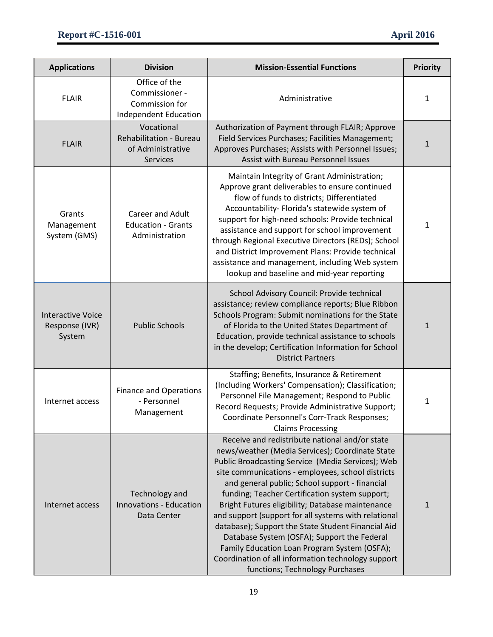| <b>Applications</b>                                  | <b>Division</b>                                                                      | <b>Mission-Essential Functions</b>                                                                                                                                                                                                                                                                                                                                                                                                                                                                                                                                                                                                                                        | <b>Priority</b> |
|------------------------------------------------------|--------------------------------------------------------------------------------------|---------------------------------------------------------------------------------------------------------------------------------------------------------------------------------------------------------------------------------------------------------------------------------------------------------------------------------------------------------------------------------------------------------------------------------------------------------------------------------------------------------------------------------------------------------------------------------------------------------------------------------------------------------------------------|-----------------|
| <b>FLAIR</b>                                         | Office of the<br>Commissioner -<br>Commission for<br>Independent Education           | Administrative                                                                                                                                                                                                                                                                                                                                                                                                                                                                                                                                                                                                                                                            | 1               |
| <b>FLAIR</b>                                         | Vocational<br><b>Rehabilitation - Bureau</b><br>of Administrative<br><b>Services</b> | Authorization of Payment through FLAIR; Approve<br>Field Services Purchases; Facilities Management;<br>Approves Purchases; Assists with Personnel Issues;<br>Assist with Bureau Personnel Issues                                                                                                                                                                                                                                                                                                                                                                                                                                                                          | $\mathbf{1}$    |
| Grants<br>Management<br>System (GMS)                 | Career and Adult<br><b>Education - Grants</b><br>Administration                      | Maintain Integrity of Grant Administration;<br>Approve grant deliverables to ensure continued<br>flow of funds to districts; Differentiated<br>Accountability- Florida's statewide system of<br>support for high-need schools: Provide technical<br>assistance and support for school improvement<br>through Regional Executive Directors (REDs); School<br>and District Improvement Plans: Provide technical<br>assistance and management, including Web system<br>lookup and baseline and mid-year reporting                                                                                                                                                            | 1               |
| <b>Interactive Voice</b><br>Response (IVR)<br>System | <b>Public Schools</b>                                                                | School Advisory Council: Provide technical<br>assistance; review compliance reports; Blue Ribbon<br>Schools Program: Submit nominations for the State<br>of Florida to the United States Department of<br>Education, provide technical assistance to schools<br>in the develop; Certification Information for School<br><b>District Partners</b>                                                                                                                                                                                                                                                                                                                          | 1               |
| Internet access                                      | <b>Finance and Operations</b><br>- Personnel<br>Management                           | Staffing; Benefits, Insurance & Retirement<br>(Including Workers' Compensation); Classification;<br>Personnel File Management; Respond to Public<br>Record Requests; Provide Administrative Support;<br>Coordinate Personnel's Corr-Track Responses;<br><b>Claims Processing</b>                                                                                                                                                                                                                                                                                                                                                                                          | 1               |
| Internet access                                      | Technology and<br><b>Innovations - Education</b><br>Data Center                      | Receive and redistribute national and/or state<br>news/weather (Media Services); Coordinate State<br>Public Broadcasting Service (Media Services); Web<br>site communications - employees, school districts<br>and general public; School support - financial<br>funding; Teacher Certification system support;<br>Bright Futures eligibility; Database maintenance<br>and support (support for all systems with relational<br>database); Support the State Student Financial Aid<br>Database System (OSFA); Support the Federal<br>Family Education Loan Program System (OSFA);<br>Coordination of all information technology support<br>functions; Technology Purchases | 1               |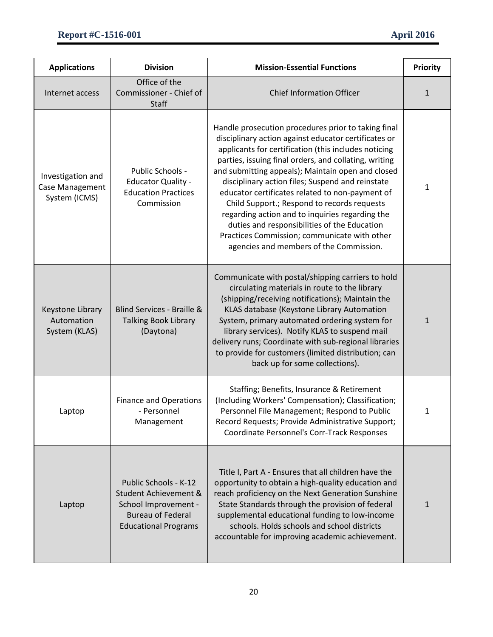| <b>Applications</b>                                   | <b>Division</b>                                                                                                                   | <b>Mission-Essential Functions</b>                                                                                                                                                                                                                                                                                                                                                                                                                                                                                                                                                                                                    | <b>Priority</b> |
|-------------------------------------------------------|-----------------------------------------------------------------------------------------------------------------------------------|---------------------------------------------------------------------------------------------------------------------------------------------------------------------------------------------------------------------------------------------------------------------------------------------------------------------------------------------------------------------------------------------------------------------------------------------------------------------------------------------------------------------------------------------------------------------------------------------------------------------------------------|-----------------|
| Internet access                                       | Office of the<br>Commissioner - Chief of<br><b>Staff</b>                                                                          | <b>Chief Information Officer</b>                                                                                                                                                                                                                                                                                                                                                                                                                                                                                                                                                                                                      | $\mathbf{1}$    |
| Investigation and<br>Case Management<br>System (ICMS) | Public Schools -<br><b>Educator Quality -</b><br><b>Education Practices</b><br>Commission                                         | Handle prosecution procedures prior to taking final<br>disciplinary action against educator certificates or<br>applicants for certification (this includes noticing<br>parties, issuing final orders, and collating, writing<br>and submitting appeals); Maintain open and closed<br>disciplinary action files; Suspend and reinstate<br>educator certificates related to non-payment of<br>Child Support.; Respond to records requests<br>regarding action and to inquiries regarding the<br>duties and responsibilities of the Education<br>Practices Commission; communicate with other<br>agencies and members of the Commission. | 1               |
| Keystone Library<br>Automation<br>System (KLAS)       | Blind Services - Braille &<br><b>Talking Book Library</b><br>(Daytona)                                                            | Communicate with postal/shipping carriers to hold<br>circulating materials in route to the library<br>(shipping/receiving notifications); Maintain the<br>KLAS database (Keystone Library Automation<br>System, primary automated ordering system for<br>library services). Notify KLAS to suspend mail<br>delivery runs; Coordinate with sub-regional libraries<br>to provide for customers (limited distribution; can<br>back up for some collections).                                                                                                                                                                             | $\mathbf{1}$    |
| Laptop                                                | <b>Finance and Operations</b><br>- Personnel<br>Management                                                                        | Staffing; Benefits, Insurance & Retirement<br>(Including Workers' Compensation); Classification;<br>Personnel File Management; Respond to Public<br>Record Requests; Provide Administrative Support;<br>Coordinate Personnel's Corr-Track Responses                                                                                                                                                                                                                                                                                                                                                                                   | 1               |
| Laptop                                                | Public Schools - K-12<br>Student Achievement &<br>School Improvement -<br><b>Bureau of Federal</b><br><b>Educational Programs</b> | Title I, Part A - Ensures that all children have the<br>opportunity to obtain a high-quality education and<br>reach proficiency on the Next Generation Sunshine<br>State Standards through the provision of federal<br>supplemental educational funding to low-income<br>schools. Holds schools and school districts<br>accountable for improving academic achievement.                                                                                                                                                                                                                                                               | $\mathbf{1}$    |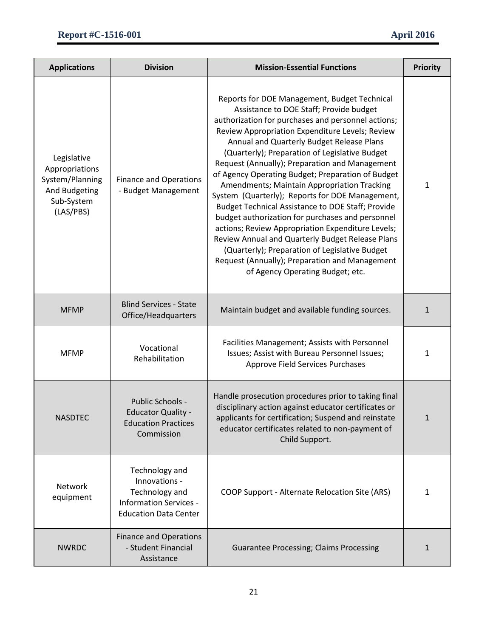| <b>Applications</b>                                                                          | <b>Division</b>                                                                                                    | <b>Mission-Essential Functions</b>                                                                                                                                                                                                                                                                                                                                                                                                                                                                                                                                                                                                                                                                                                                                                                                                                                 | <b>Priority</b> |
|----------------------------------------------------------------------------------------------|--------------------------------------------------------------------------------------------------------------------|--------------------------------------------------------------------------------------------------------------------------------------------------------------------------------------------------------------------------------------------------------------------------------------------------------------------------------------------------------------------------------------------------------------------------------------------------------------------------------------------------------------------------------------------------------------------------------------------------------------------------------------------------------------------------------------------------------------------------------------------------------------------------------------------------------------------------------------------------------------------|-----------------|
| Legislative<br>Appropriations<br>System/Planning<br>And Budgeting<br>Sub-System<br>(LAS/PBS) | <b>Finance and Operations</b><br>- Budget Management                                                               | Reports for DOE Management, Budget Technical<br>Assistance to DOE Staff; Provide budget<br>authorization for purchases and personnel actions;<br>Review Appropriation Expenditure Levels; Review<br>Annual and Quarterly Budget Release Plans<br>(Quarterly); Preparation of Legislative Budget<br>Request (Annually); Preparation and Management<br>of Agency Operating Budget; Preparation of Budget<br>Amendments; Maintain Appropriation Tracking<br>System (Quarterly); Reports for DOE Management,<br>Budget Technical Assistance to DOE Staff; Provide<br>budget authorization for purchases and personnel<br>actions; Review Appropriation Expenditure Levels;<br>Review Annual and Quarterly Budget Release Plans<br>(Quarterly); Preparation of Legislative Budget<br>Request (Annually); Preparation and Management<br>of Agency Operating Budget; etc. | 1               |
| <b>MFMP</b>                                                                                  | <b>Blind Services - State</b><br>Office/Headquarters                                                               | Maintain budget and available funding sources.                                                                                                                                                                                                                                                                                                                                                                                                                                                                                                                                                                                                                                                                                                                                                                                                                     | 1               |
| <b>MFMP</b>                                                                                  | Vocational<br>Rehabilitation                                                                                       | Facilities Management; Assists with Personnel<br>Issues; Assist with Bureau Personnel Issues;<br>Approve Field Services Purchases                                                                                                                                                                                                                                                                                                                                                                                                                                                                                                                                                                                                                                                                                                                                  | 1               |
| <b>NASDTEC</b>                                                                               | Public Schools -<br><b>Educator Quality -</b><br><b>Education Practices</b><br>Commission                          | Handle prosecution procedures prior to taking final<br>disciplinary action against educator certificates or<br>applicants for certification; Suspend and reinstate<br>educator certificates related to non-payment of<br>Child Support.                                                                                                                                                                                                                                                                                                                                                                                                                                                                                                                                                                                                                            | 1               |
| Network<br>equipment                                                                         | Technology and<br>Innovations -<br>Technology and<br><b>Information Services -</b><br><b>Education Data Center</b> | COOP Support - Alternate Relocation Site (ARS)                                                                                                                                                                                                                                                                                                                                                                                                                                                                                                                                                                                                                                                                                                                                                                                                                     | $\mathbf{1}$    |
| <b>NWRDC</b>                                                                                 | <b>Finance and Operations</b><br>- Student Financial<br>Assistance                                                 | <b>Guarantee Processing; Claims Processing</b>                                                                                                                                                                                                                                                                                                                                                                                                                                                                                                                                                                                                                                                                                                                                                                                                                     | 1               |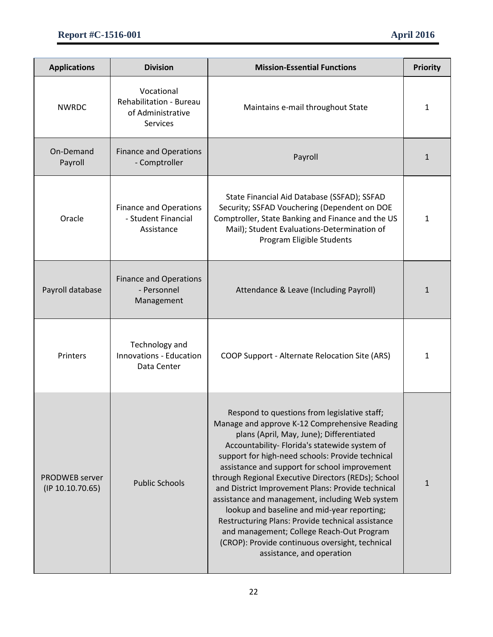| <b>Applications</b>                | <b>Division</b>                                                               | <b>Mission-Essential Functions</b>                                                                                                                                                                                                                                                                                                                                                                                                                                                                                                                                                                                                                                                              | <b>Priority</b> |
|------------------------------------|-------------------------------------------------------------------------------|-------------------------------------------------------------------------------------------------------------------------------------------------------------------------------------------------------------------------------------------------------------------------------------------------------------------------------------------------------------------------------------------------------------------------------------------------------------------------------------------------------------------------------------------------------------------------------------------------------------------------------------------------------------------------------------------------|-----------------|
| <b>NWRDC</b>                       | Vocational<br>Rehabilitation - Bureau<br>of Administrative<br><b>Services</b> | Maintains e-mail throughout State                                                                                                                                                                                                                                                                                                                                                                                                                                                                                                                                                                                                                                                               | 1               |
| On-Demand<br>Payroll               | <b>Finance and Operations</b><br>- Comptroller                                | Payroll                                                                                                                                                                                                                                                                                                                                                                                                                                                                                                                                                                                                                                                                                         | $\mathbf{1}$    |
| Oracle                             | <b>Finance and Operations</b><br>- Student Financial<br>Assistance            | State Financial Aid Database (SSFAD); SSFAD<br>Security; SSFAD Vouchering (Dependent on DOE<br>Comptroller, State Banking and Finance and the US<br>Mail); Student Evaluations-Determination of<br>Program Eligible Students                                                                                                                                                                                                                                                                                                                                                                                                                                                                    | 1               |
| Payroll database                   | <b>Finance and Operations</b><br>- Personnel<br>Management                    | Attendance & Leave (Including Payroll)                                                                                                                                                                                                                                                                                                                                                                                                                                                                                                                                                                                                                                                          | $\mathbf{1}$    |
| Printers                           | Technology and<br>Innovations - Education<br>Data Center                      | COOP Support - Alternate Relocation Site (ARS)                                                                                                                                                                                                                                                                                                                                                                                                                                                                                                                                                                                                                                                  | 1               |
| PRODWEB server<br>(IP 10.10.70.65) | <b>Public Schools</b>                                                         | Respond to questions from legislative staff;<br>Manage and approve K-12 Comprehensive Reading<br>plans (April, May, June); Differentiated<br>Accountability- Florida's statewide system of<br>support for high-need schools: Provide technical<br>assistance and support for school improvement<br>through Regional Executive Directors (REDs); School<br>and District Improvement Plans: Provide technical<br>assistance and management, including Web system<br>lookup and baseline and mid-year reporting;<br>Restructuring Plans: Provide technical assistance<br>and management; College Reach-Out Program<br>(CROP): Provide continuous oversight, technical<br>assistance, and operation | $\mathbf{1}$    |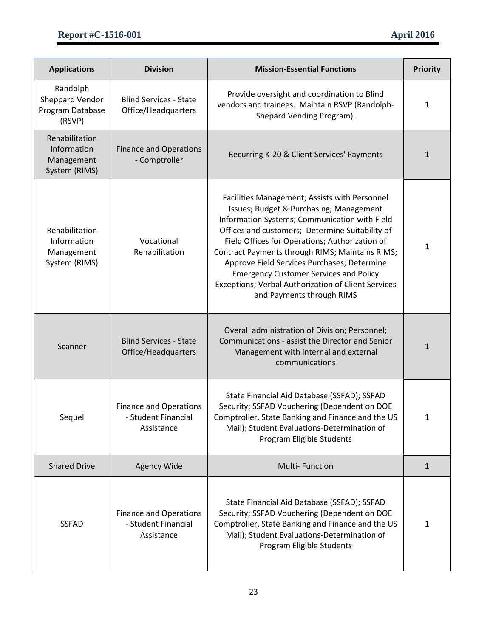| <b>Applications</b>                                          | <b>Division</b>                                                    | <b>Mission-Essential Functions</b>                                                                                                                                                                                                                                                                                                                                                                                                                                                           | <b>Priority</b> |
|--------------------------------------------------------------|--------------------------------------------------------------------|----------------------------------------------------------------------------------------------------------------------------------------------------------------------------------------------------------------------------------------------------------------------------------------------------------------------------------------------------------------------------------------------------------------------------------------------------------------------------------------------|-----------------|
| Randolph<br>Sheppard Vendor<br>Program Database<br>(RSVP)    | <b>Blind Services - State</b><br>Office/Headquarters               | Provide oversight and coordination to Blind<br>vendors and trainees. Maintain RSVP (Randolph-<br>Shepard Vending Program).                                                                                                                                                                                                                                                                                                                                                                   | 1               |
| Rehabilitation<br>Information<br>Management<br>System (RIMS) | <b>Finance and Operations</b><br>- Comptroller                     | Recurring K-20 & Client Services' Payments                                                                                                                                                                                                                                                                                                                                                                                                                                                   | 1               |
| Rehabilitation<br>Information<br>Management<br>System (RIMS) | Vocational<br>Rehabilitation                                       | Facilities Management; Assists with Personnel<br>Issues; Budget & Purchasing; Management<br>Information Systems; Communication with Field<br>Offices and customers; Determine Suitability of<br>Field Offices for Operations; Authorization of<br>Contract Payments through RIMS; Maintains RIMS;<br>Approve Field Services Purchases; Determine<br><b>Emergency Customer Services and Policy</b><br><b>Exceptions; Verbal Authorization of Client Services</b><br>and Payments through RIMS | 1               |
| Scanner                                                      | <b>Blind Services - State</b><br>Office/Headquarters               | Overall administration of Division; Personnel;<br>Communications - assist the Director and Senior<br>Management with internal and external<br>communications                                                                                                                                                                                                                                                                                                                                 | 1               |
| Sequel                                                       | <b>Finance and Operations</b><br>- Student Financial<br>Assistance | State Financial Aid Database (SSFAD); SSFAD<br>Security; SSFAD Vouchering (Dependent on DOE<br>Comptroller, State Banking and Finance and the US<br>Mail); Student Evaluations-Determination of<br>Program Eligible Students                                                                                                                                                                                                                                                                 | 1               |
| <b>Shared Drive</b>                                          | Agency Wide                                                        | <b>Multi-Function</b>                                                                                                                                                                                                                                                                                                                                                                                                                                                                        | $\mathbf{1}$    |
| <b>SSFAD</b>                                                 | <b>Finance and Operations</b><br>- Student Financial<br>Assistance | State Financial Aid Database (SSFAD); SSFAD<br>Security; SSFAD Vouchering (Dependent on DOE<br>Comptroller, State Banking and Finance and the US<br>Mail); Student Evaluations-Determination of<br>Program Eligible Students                                                                                                                                                                                                                                                                 | 1               |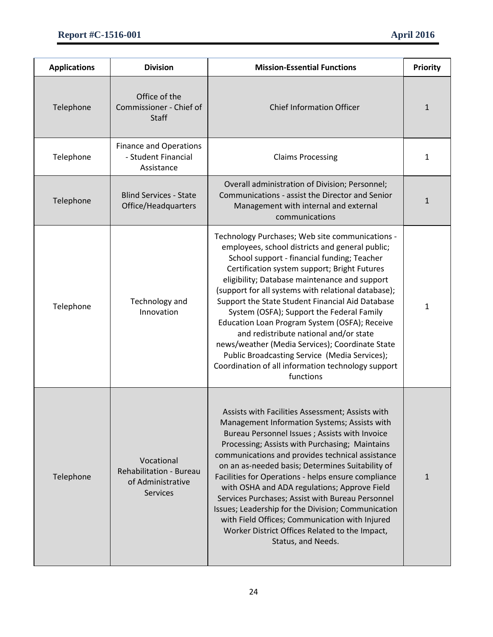| <b>Applications</b> | <b>Division</b>                                                               | <b>Mission-Essential Functions</b>                                                                                                                                                                                                                                                                                                                                                                                                                                                                                                                                                                                                                                           | <b>Priority</b> |
|---------------------|-------------------------------------------------------------------------------|------------------------------------------------------------------------------------------------------------------------------------------------------------------------------------------------------------------------------------------------------------------------------------------------------------------------------------------------------------------------------------------------------------------------------------------------------------------------------------------------------------------------------------------------------------------------------------------------------------------------------------------------------------------------------|-----------------|
| Telephone           | Office of the<br>Commissioner - Chief of<br>Staff                             | <b>Chief Information Officer</b>                                                                                                                                                                                                                                                                                                                                                                                                                                                                                                                                                                                                                                             | 1               |
| Telephone           | <b>Finance and Operations</b><br>- Student Financial<br>Assistance            | <b>Claims Processing</b>                                                                                                                                                                                                                                                                                                                                                                                                                                                                                                                                                                                                                                                     | 1               |
| Telephone           | <b>Blind Services - State</b><br>Office/Headquarters                          | Overall administration of Division; Personnel;<br>Communications - assist the Director and Senior<br>Management with internal and external<br>communications                                                                                                                                                                                                                                                                                                                                                                                                                                                                                                                 | 1               |
| Telephone           | Technology and<br>Innovation                                                  | Technology Purchases; Web site communications -<br>employees, school districts and general public;<br>School support - financial funding; Teacher<br>Certification system support; Bright Futures<br>eligibility; Database maintenance and support<br>(support for all systems with relational database);<br>Support the State Student Financial Aid Database<br>System (OSFA); Support the Federal Family<br>Education Loan Program System (OSFA); Receive<br>and redistribute national and/or state<br>news/weather (Media Services); Coordinate State<br>Public Broadcasting Service (Media Services);<br>Coordination of all information technology support<br>functions | 1               |
| Telephone           | Vocational<br>Rehabilitation - Bureau<br>of Administrative<br><b>Services</b> | Assists with Facilities Assessment; Assists with<br>Management Information Systems; Assists with<br>Bureau Personnel Issues ; Assists with Invoice<br>Processing; Assists with Purchasing; Maintains<br>communications and provides technical assistance<br>on an as-needed basis; Determines Suitability of<br>Facilities for Operations - helps ensure compliance<br>with OSHA and ADA regulations; Approve Field<br>Services Purchases; Assist with Bureau Personnel<br>Issues; Leadership for the Division; Communication<br>with Field Offices; Communication with Injured<br>Worker District Offices Related to the Impact,<br>Status, and Needs.                      | $\mathbf{1}$    |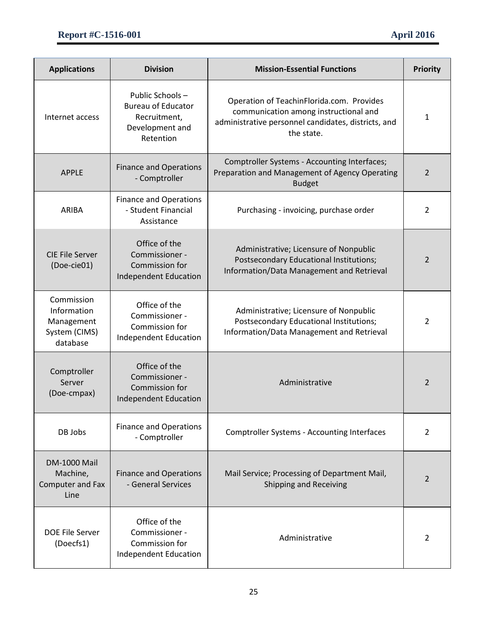| <b>Applications</b>                                                  | <b>Division</b>                                                                              | <b>Mission-Essential Functions</b>                                                                                                                      | <b>Priority</b> |
|----------------------------------------------------------------------|----------------------------------------------------------------------------------------------|---------------------------------------------------------------------------------------------------------------------------------------------------------|-----------------|
| Internet access                                                      | Public Schools-<br><b>Bureau of Educator</b><br>Recruitment,<br>Development and<br>Retention | Operation of TeachinFlorida.com. Provides<br>communication among instructional and<br>administrative personnel candidates, districts, and<br>the state. | 1               |
| <b>APPLE</b>                                                         | <b>Finance and Operations</b><br>- Comptroller                                               | Comptroller Systems - Accounting Interfaces;<br>Preparation and Management of Agency Operating<br><b>Budget</b>                                         | 2               |
| <b>ARIBA</b>                                                         | <b>Finance and Operations</b><br>- Student Financial<br>Assistance                           | Purchasing - invoicing, purchase order                                                                                                                  | 2               |
| <b>CIE File Server</b><br>(Doe-cie01)                                | Office of the<br>Commissioner -<br>Commission for<br><b>Independent Education</b>            | Administrative; Licensure of Nonpublic<br>Postsecondary Educational Institutions;<br>Information/Data Management and Retrieval                          | 2               |
| Commission<br>Information<br>Management<br>System (CIMS)<br>database | Office of the<br>Commissioner -<br>Commission for<br>Independent Education                   | Administrative; Licensure of Nonpublic<br>Postsecondary Educational Institutions;<br>Information/Data Management and Retrieval                          | 2               |
| Comptroller<br>Server<br>(Doe-cmpax)                                 | Office of the<br>Commissioner -<br>Commission for<br><b>Independent Education</b>            | Administrative                                                                                                                                          | 2               |
| DB Jobs                                                              | <b>Finance and Operations</b><br>- Comptroller                                               | <b>Comptroller Systems - Accounting Interfaces</b>                                                                                                      | 2               |
| <b>DM-1000 Mail</b><br>Machine,<br>Computer and Fax<br>Line          | <b>Finance and Operations</b><br>- General Services                                          | Mail Service; Processing of Department Mail,<br>Shipping and Receiving                                                                                  | 2               |
| DOE File Server<br>(Doecfs1)                                         | Office of the<br>Commissioner -<br>Commission for<br><b>Independent Education</b>            | Administrative                                                                                                                                          | 2               |